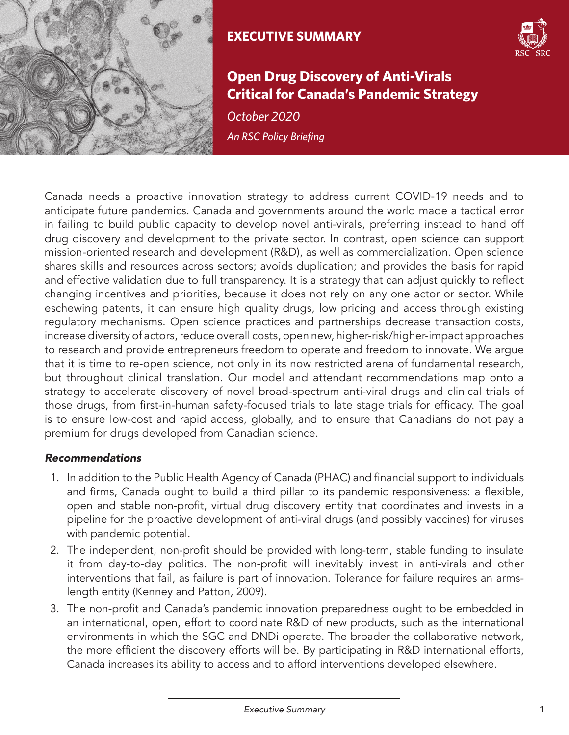

## **EXECUTIVE SUMMARY**



## **Open Drug Discovery of Anti-Virals Critical for Canada's Pandemic Strategy**

*An RSC Policy Briefing October 2020*

Canada needs a proactive innovation strategy to address current COVID-19 needs and to anticipate future pandemics. Canada and governments around the world made a tactical error in failing to build public capacity to develop novel anti-virals, preferring instead to hand off drug discovery and development to the private sector. In contrast, open science can support mission-oriented research and development (R&D), as well as commercialization. Open science shares skills and resources across sectors; avoids duplication; and provides the basis for rapid and effective validation due to full transparency. It is a strategy that can adjust quickly to reflect changing incentives and priorities, because it does not rely on any one actor or sector. While eschewing patents, it can ensure high quality drugs, low pricing and access through existing regulatory mechanisms. Open science practices and partnerships decrease transaction costs, increase diversity of actors, reduce overall costs, open new, higher-risk/higher-impact approaches to research and provide entrepreneurs freedom to operate and freedom to innovate. We argue that it is time to re-open science, not only in its now restricted arena of fundamental research, but throughout clinical translation. Our model and attendant recommendations map onto a strategy to accelerate discovery of novel broad-spectrum anti-viral drugs and clinical trials of those drugs, from first-in-human safety-focused trials to late stage trials for efficacy. The goal is to ensure low-cost and rapid access, globally, and to ensure that Canadians do not pay a premium for drugs developed from Canadian science.

## *Recommendations*

- 1. In addition to the Public Health Agency of Canada (PHAC) and financial support to individuals and firms, Canada ought to build a third pillar to its pandemic responsiveness: a flexible, open and stable non-profit, virtual drug discovery entity that coordinates and invests in a pipeline for the proactive development of anti-viral drugs (and possibly vaccines) for viruses with pandemic potential.
- 2. The independent, non-profit should be provided with long-term, stable funding to insulate it from day-to-day politics. The non-profit will inevitably invest in anti-virals and other interventions that fail, as failure is part of innovation. Tolerance for failure requires an armslength entity (Kenney and Patton, 2009).
- 3. The non-profit and Canada's pandemic innovation preparedness ought to be embedded in an international, open, effort to coordinate R&D of new products, such as the international environments in which the SGC and DNDi operate. The broader the collaborative network, the more efficient the discovery efforts will be. By participating in R&D international efforts, Canada increases its ability to access and to afford interventions developed elsewhere.